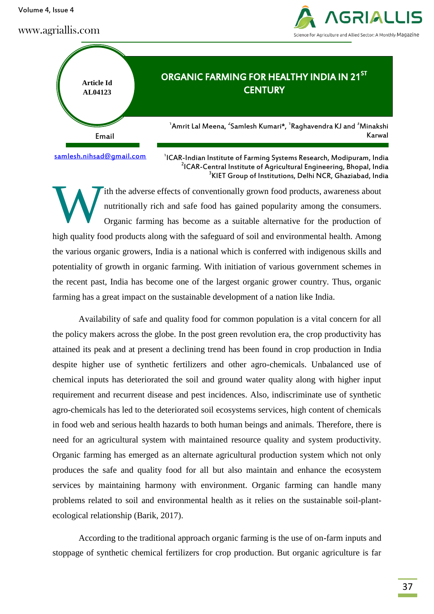```
Volume 4, Issue 4
```




[samlesh.nihsad@gmail.com](mailto:samlesh.nihsad@gmail.com)

<sup>1</sup>ICAR-Indian Institute of Farming Systems Research, Modipuram, India 2 ICAR-Central Institute of Agricultural Engineering, Bhopal, India 3 KIET Group of Institutions, Delhi NCR, Ghaziabad, India

ith the adverse effects of conventionally grown food products, awareness about nutritionally rich and safe food has gained popularity among the consumers. Organic farming has become as a suitable alternative for the production of high quality food products along with the safeguard of soil and environmental health. Among the various organic growers, India is a national which is conferred with indigenous skills and potentiality of growth in organic farming. With initiation of various government schemes in the recent past, India has become one of the largest organic grower country. Thus, organic farming has a great impact on the sustainable development of a nation like India. W

Availability of safe and quality food for common population is a vital concern for all the policy makers across the globe. In the post green revolution era, the crop productivity has attained its peak and at present a declining trend has been found in crop production in India despite higher use of synthetic fertilizers and other agro-chemicals. Unbalanced use of chemical inputs has deteriorated the soil and ground water quality along with higher input requirement and recurrent disease and pest incidences. Also, indiscriminate use of synthetic agro-chemicals has led to the deteriorated soil ecosystems services, high content of chemicals in food web and serious health hazards to both human beings and animals. Therefore, there is need for an agricultural system with maintained resource quality and system productivity. Organic farming has emerged as an alternate agricultural production system which not only produces the safe and quality food for all but also maintain and enhance the ecosystem services by maintaining harmony with environment. Organic farming can handle many problems related to soil and environmental health as it relies on the sustainable soil-plantecological relationship (Barik, 2017).

According to the traditional approach organic farming is the use of on-farm inputs and stoppage of synthetic chemical fertilizers for crop production. But organic agriculture is far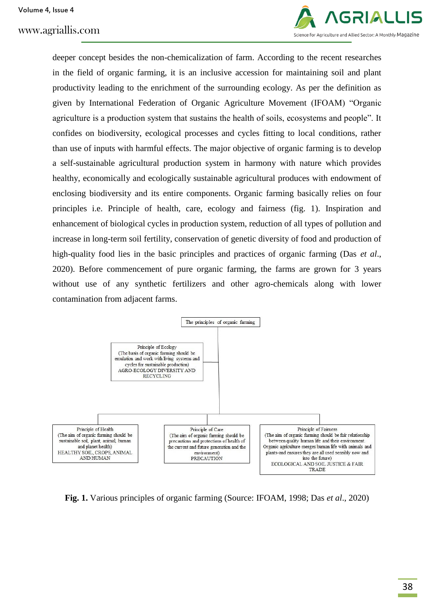

deeper concept besides the non-chemicalization of farm. According to the recent researches in the field of organic farming, it is an inclusive accession for maintaining soil and plant productivity leading to the enrichment of the surrounding ecology. As per the definition as given by International Federation of Organic Agriculture Movement (IFOAM) "Organic agriculture is a production system that sustains the health of soils, ecosystems and people". It confides on biodiversity, ecological processes and cycles fitting to local conditions, rather than use of inputs with harmful effects. The major objective of organic farming is to develop a self-sustainable agricultural production system in harmony with nature which provides healthy, economically and ecologically sustainable agricultural produces with endowment of enclosing biodiversity and its entire components. Organic farming basically relies on four principles i.e. Principle of health, care, ecology and fairness (fig. 1). Inspiration and enhancement of biological cycles in production system, reduction of all types of pollution and increase in long-term soil fertility, conservation of genetic diversity of food and production of high-quality food lies in the basic principles and practices of organic farming (Das *et al*., 2020). Before commencement of pure organic farming, the farms are grown for 3 years without use of any synthetic fertilizers and other agro-chemicals along with lower contamination from adjacent farms.



**Fig. 1.** Various principles of organic farming (Source: IFOAM, 1998; Das *et al*., 2020)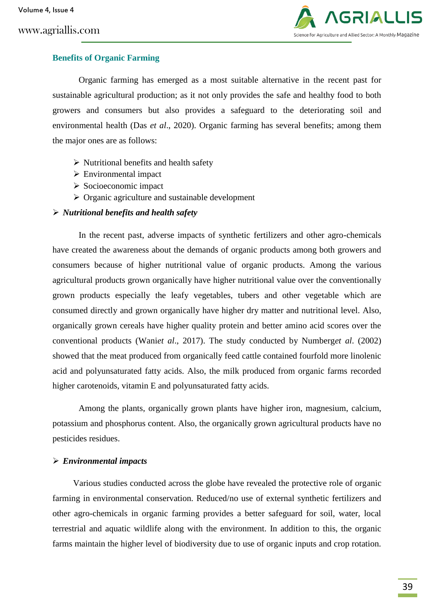

### **Benefits of Organic Farming**

Organic farming has emerged as a most suitable alternative in the recent past for sustainable agricultural production; as it not only provides the safe and healthy food to both growers and consumers but also provides a safeguard to the deteriorating soil and environmental health (Das *et al*., 2020). Organic farming has several benefits; among them the major ones are as follows:

- $\triangleright$  Nutritional benefits and health safety
- Environmental impact
- $\triangleright$  Socioeconomic impact
- $\triangleright$  Organic agriculture and sustainable development

### *Nutritional benefits and health safety*

In the recent past, adverse impacts of synthetic fertilizers and other agro-chemicals have created the awareness about the demands of organic products among both growers and consumers because of higher nutritional value of organic products. Among the various agricultural products grown organically have higher nutritional value over the conventionally grown products especially the leafy vegetables, tubers and other vegetable which are consumed directly and grown organically have higher dry matter and nutritional level. Also, organically grown cereals have higher quality protein and better amino acid scores over the conventional products (Wani*et al*., 2017). The study conducted by Numberg*et al*. (2002) showed that the meat produced from organically feed cattle contained fourfold more linolenic acid and polyunsaturated fatty acids. Also, the milk produced from organic farms recorded higher carotenoids, vitamin E and polyunsaturated fatty acids.

Among the plants, organically grown plants have higher iron, magnesium, calcium, potassium and phosphorus content. Also, the organically grown agricultural products have no pesticides residues.

## *Environmental impacts*

Various studies conducted across the globe have revealed the protective role of organic farming in environmental conservation. Reduced/no use of external synthetic fertilizers and other agro-chemicals in organic farming provides a better safeguard for soil, water, local terrestrial and aquatic wildlife along with the environment. In addition to this, the organic farms maintain the higher level of biodiversity due to use of organic inputs and crop rotation.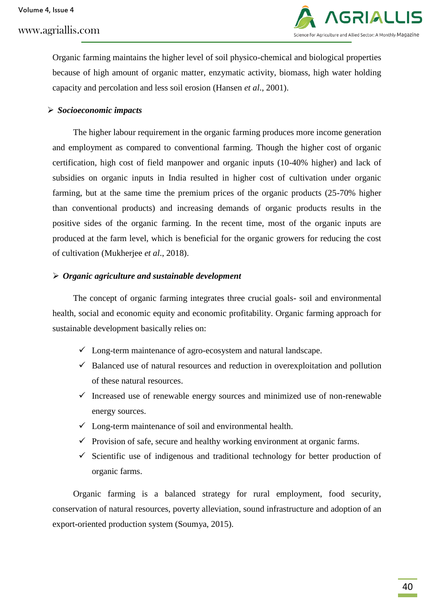

Organic farming maintains the higher level of soil physico-chemical and biological properties because of high amount of organic matter, enzymatic activity, biomass, high water holding capacity and percolation and less soil erosion (Hansen *et al*., 2001).

# *Socioeconomic impacts*

The higher labour requirement in the organic farming produces more income generation and employment as compared to conventional farming. Though the higher cost of organic certification, high cost of field manpower and organic inputs (10-40% higher) and lack of subsidies on organic inputs in India resulted in higher cost of cultivation under organic farming, but at the same time the premium prices of the organic products (25-70% higher than conventional products) and increasing demands of organic products results in the positive sides of the organic farming. In the recent time, most of the organic inputs are produced at the farm level, which is beneficial for the organic growers for reducing the cost of cultivation (Mukherjee *et al*., 2018).

# *Organic agriculture and sustainable development*

The concept of organic farming integrates three crucial goals- soil and environmental health, social and economic equity and economic profitability. Organic farming approach for sustainable development basically relies on:

- $\checkmark$  Long-term maintenance of agro-ecosystem and natural landscape.
- $\checkmark$  Balanced use of natural resources and reduction in overexploitation and pollution of these natural resources.
- $\checkmark$  Increased use of renewable energy sources and minimized use of non-renewable energy sources.
- $\checkmark$  Long-term maintenance of soil and environmental health.
- $\checkmark$  Provision of safe, secure and healthy working environment at organic farms.
- $\checkmark$  Scientific use of indigenous and traditional technology for better production of organic farms.

Organic farming is a balanced strategy for rural employment, food security, conservation of natural resources, poverty alleviation, sound infrastructure and adoption of an export-oriented production system (Soumya, 2015).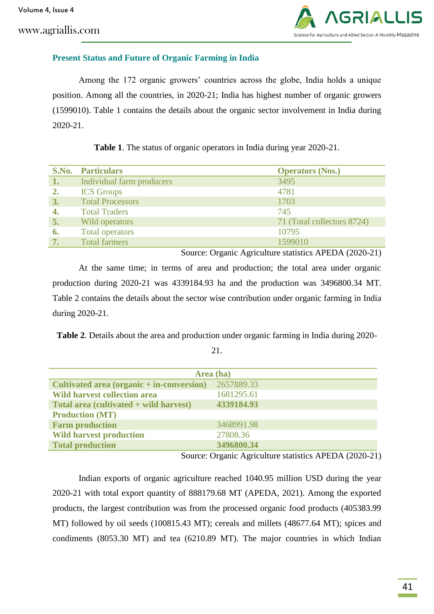

## **Present Status and Future of Organic Farming in India**

Among the 172 organic growers' countries across the globe, India holds a unique position. Among all the countries, in 2020-21; India has highest number of organic growers (1599010). Table 1 contains the details about the organic sector involvement in India during 2020-21.

**Table 1**. The status of organic operators in India during year 2020-21.

|    | <b>S.No. Particulars</b>  | <b>Operators (Nos.)</b>    |
|----|---------------------------|----------------------------|
| 1. | Individual farm producers | 3495                       |
| 2. | <b>ICS</b> Groups         | 4781                       |
| 3. | <b>Total Processors</b>   | 1703                       |
|    | <b>Total Traders</b>      | 745                        |
| 5. | Wild operators            | 71 (Total collectors 8724) |
| 6. | <b>Total operators</b>    | 10795                      |
|    | <b>Total farmers</b>      | 1599010                    |

Source: Organic Agriculture statistics APEDA (2020-21)

At the same time; in terms of area and production; the total area under organic production during 2020-21 was 4339184.93 ha and the production was 3496800.34 MT. Table 2 contains the details about the sector wise contribution under organic farming in India during 2020-21.

**Table 2**. Details about the area and production under organic farming in India during 2020-

21.

| Area (ha)                                 |            |  |  |
|-------------------------------------------|------------|--|--|
| Cultivated area (organic + in-conversion) | 2657889.33 |  |  |
| <b>Wild harvest collection area</b>       | 1681295.61 |  |  |
| Total area (cultivated + wild harvest)    | 4339184.93 |  |  |
| <b>Production (MT)</b>                    |            |  |  |
| <b>Farm production</b>                    | 3468991.98 |  |  |
| <b>Wild harvest production</b>            | 27808.36   |  |  |
| <b>Total production</b>                   | 3496800.34 |  |  |

Source: Organic Agriculture statistics APEDA (2020-21)

Indian exports of organic agriculture reached 1040.95 million USD during the year 2020-21 with total export quantity of 888179.68 MT (APEDA, 2021). Among the exported products, the largest contribution was from the processed organic food products (405383.99 MT) followed by oil seeds (100815.43 MT); cereals and millets (48677.64 MT); spices and condiments (8053.30 MT) and tea (6210.89 MT). The major countries in which Indian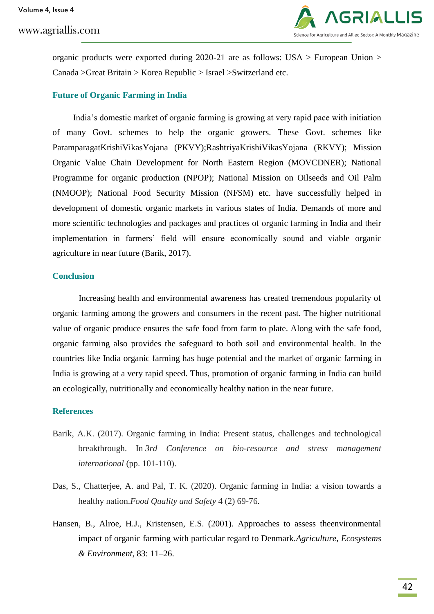Volume 4, Issue 4

www.agriallis.com



organic products were exported during 2020-21 are as follows: USA  $>$  European Union  $>$ Canada >Great Britain > Korea Republic > Israel >Switzerland etc.

#### **Future of Organic Farming in India**

India's domestic market of organic farming is growing at very rapid pace with initiation of many Govt. schemes to help the organic growers. These Govt. schemes like ParamparagatKrishiVikasYojana (PKVY);RashtriyaKrishiVikasYojana (RKVY); Mission Organic Value Chain Development for North Eastern Region (MOVCDNER); National Programme for organic production (NPOP); National Mission on Oilseeds and Oil Palm (NMOOP); National Food Security Mission (NFSM) etc. have successfully helped in development of domestic organic markets in various states of India. Demands of more and more scientific technologies and packages and practices of organic farming in India and their implementation in farmers' field will ensure economically sound and viable organic agriculture in near future (Barik, 2017).

#### **Conclusion**

Increasing health and environmental awareness has created tremendous popularity of organic farming among the growers and consumers in the recent past. The higher nutritional value of organic produce ensures the safe food from farm to plate. Along with the safe food, organic farming also provides the safeguard to both soil and environmental health. In the countries like India organic farming has huge potential and the market of organic farming in India is growing at a very rapid speed. Thus, promotion of organic farming in India can build an ecologically, nutritionally and economically healthy nation in the near future.

# **References**

- Barik, A.K. (2017). Organic farming in India: Present status, challenges and technological breakthrough. In *3rd Conference on bio-resource and stress management international* (pp. 101-110).
- Das, S., Chatterjee, A. and Pal, T. K. (2020). Organic farming in India: a vision towards a healthy nation.*Food Quality and Safety* 4 (2) 69-76.
- Hansen, B., Alroe, H.J., Kristensen, E.S. (2001). Approaches to assess theenvironmental impact of organic farming with particular regard to Denmark.*Agriculture, Ecosystems & Environment*, 83: 11–26.